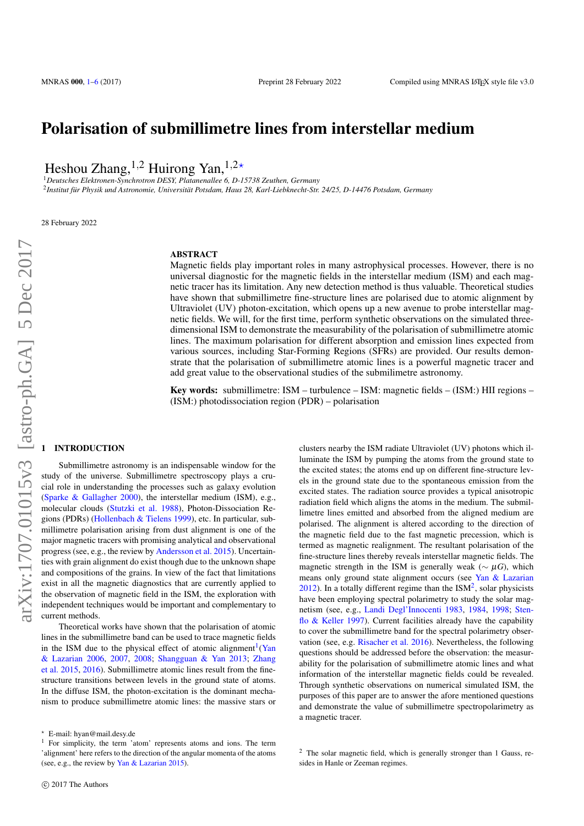# Polarisation of submillimetre lines from interstellar medium

Heshou Zhang,  $^{1,2}$  Huirong Yan,  $^{1,2*}$ 

<sup>1</sup>*Deutsches Elektronen-Synchrotron DESY, Platanenallee 6, D-15738 Zeuthen, Germany* <sup>2</sup> Institut für Physik und Astronomie, Universität Potsdam, Haus 28, Karl-Liebknecht-Str. 24/25, D-14476 Potsdam, Germany

28 February 2022

# **ABSTRACT**

Magnetic fields play important roles in many astrophysical processes. However, there is no universal diagnostic for the magnetic fields in the interstellar medium (ISM) and each magnetic tracer has its limitation. Any new detection method is thus valuable. Theoretical studies have shown that submillimetre fine-structure lines are polarised due to atomic alignment by Ultraviolet (UV) photon-excitation, which opens up a new avenue to probe interstellar magnetic fields. We will, for the first time, perform synthetic observations on the simulated threedimensional ISM to demonstrate the measurability of the polarisation of submillimetre atomic lines. The maximum polarisation for different absorption and emission lines expected from various sources, including Star-Forming Regions (SFRs) are provided. Our results demonstrate that the polarisation of submillimetre atomic lines is a powerful magnetic tracer and add great value to the observational studies of the submilimetre astronomy.

Key words: submillimetre: ISM – turbulence – ISM: magnetic fields – (ISM:) HII regions – (ISM:) photodissociation region (PDR) – polarisation

### <span id="page-0-0"></span>**INTRODUCTION**

Submillimetre astronomy is an indispensable window for the study of the universe. Submillimetre spectroscopy plays a crucial role in understanding the processes such as galaxy evolution [\(Sparke & Gallagher](#page-5-1) [2000\)](#page-5-1), the interstellar medium (ISM), e.g., molecular clouds [\(Stutzki et al.](#page-5-2) [1988\)](#page-5-2), Photon-Dissociation Regions (PDRs) [\(Hollenbach & Tielens](#page-5-3) [1999\)](#page-5-3), etc. In particular, submillimetre polarisation arising from dust alignment is one of the major magnetic tracers with promising analytical and observational progress (see, e.g., the review by [Andersson et al.](#page-5-4) [2015\)](#page-5-4). Uncertainties with grain alignment do exist though due to the unknown shape and compositions of the grains. In view of the fact that limitations exist in all the magnetic diagnostics that are currently applied to the observation of magnetic field in the ISM, the exploration with independent techniques would be important and complementary to current methods.

Theoretical works have shown that the polarisation of atomic lines in the submillimetre band can be used to trace magnetic fields in the ISM due to the physical effect of atomic alignment<sup>[1](#page-0-1)</sup>[\(Yan](#page-5-5) [& Lazarian](#page-5-5) [2006,](#page-5-5) [2007,](#page-5-6) [2008;](#page-5-7) [Shangguan & Yan](#page-5-8) [2013;](#page-5-8) [Zhang](#page-5-9) [et al.](#page-5-9) [2015,](#page-5-9) [2016\)](#page-5-10). Submillimetre atomic lines result from the finestructure transitions between levels in the ground state of atoms. In the diffuse ISM, the photon-excitation is the dominant mechanism to produce submillimetre atomic lines: the massive stars or clusters nearby the ISM radiate Ultraviolet (UV) photons which illuminate the ISM by pumping the atoms from the ground state to the excited states; the atoms end up on different fine-structure levels in the ground state due to the spontaneous emission from the excited states. The radiation source provides a typical anisotropic radiation field which aligns the atoms in the medium. The submillimetre lines emitted and absorbed from the aligned medium are polarised. The alignment is altered according to the direction of the magnetic field due to the fast magnetic precession, which is termed as magnetic realignment. The resultant polarisation of the fine-structure lines thereby reveals interstellar magnetic fields. The magnetic strength in the ISM is generally weak ( $\sim \mu G$ ), which means only ground state alignment occurs (see [Yan & Lazarian](#page-5-12)  $2012$  $2012$ ). In a totally different regime than the ISM<sup>2</sup>, solar physicists have been employing spectral polarimetry to study the solar magnetism (see, e.g., [Landi Degl'Innocenti](#page-5-13) [1983,](#page-5-13) [1984,](#page-5-14) [1998;](#page-5-15) [Sten](#page-5-16)[flo & Keller](#page-5-16) [1997\)](#page-5-16). Current facilities already have the capability to cover the submillimetre band for the spectral polarimetry observation (see, e.g. [Risacher et al.](#page-5-17) [2016\)](#page-5-17). Nevertheless, the following questions should be addressed before the observation: the measurability for the polarisation of submillimetre atomic lines and what information of the interstellar magnetic fields could be revealed. Through synthetic observations on numerical simulated ISM, the purposes of this paper are to answer the afore mentioned questions and demonstrate the value of submillimetre spectropolarimetry as a magnetic tracer.

<sup>?</sup> E-mail: hyan@mail.desy.de

<span id="page-0-1"></span><sup>&</sup>lt;sup>1</sup> For simplicity, the term 'atom' represents atoms and ions. The term 'alignment' here refers to the direction of the angular momenta of the atoms (see, e.g., the review by [Yan & Lazarian](#page-5-11) [2015\)](#page-5-11).

<span id="page-0-2"></span><sup>2</sup> The solar magnetic field, which is generally stronger than 1 Gauss, resides in Hanle or Zeeman regimes.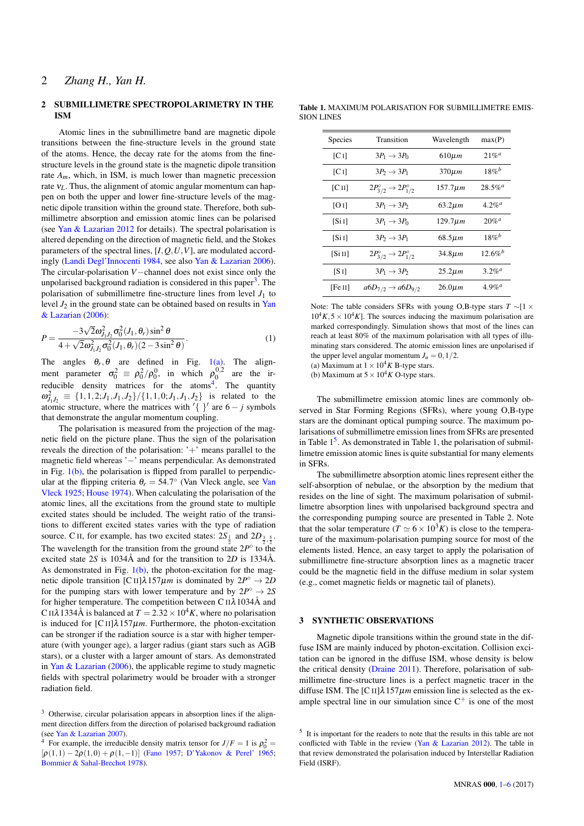#### 2 SUBMILLIMETRE SPECTROPOLARIMETRY IN THE ISM

Atomic lines in the submillimetre band are magnetic dipole transitions between the fine-structure levels in the ground state of the atoms. Hence, the decay rate for the atoms from the finestructure levels in the ground state is the magnetic dipole transition rate  $A_m$ , which, in ISM, is much lower than magnetic precession rate ν*L*. Thus, the alignment of atomic angular momentum can happen on both the upper and lower fine-structure levels of the magnetic dipole transition within the ground state. Therefore, both submillimetre absorption and emission atomic lines can be polarised (see [Yan & Lazarian](#page-5-12) [2012](#page-5-12) for details). The spectral polarisation is altered depending on the direction of magnetic field, and the Stokes parameters of the spectral lines,  $[I, Q, U, V]$ , are modulated accordingly [\(Landi Degl'Innocenti](#page-5-14) [1984,](#page-5-14) see also [Yan & Lazarian](#page-5-5) [2006\)](#page-5-5). The circular-polarisation *V*−channel does not exist since only the unpolarised background radiation is considered in this paper<sup>[3](#page-1-0)</sup>. The polarisation of submillimetre fine-structure lines from level  $J_1$  to level  $J_2$  in the ground state can be obtained based on results in [Yan](#page-5-5) [& Lazarian](#page-5-5) [\(2006\)](#page-5-5):

$$
P = \frac{-3\sqrt{2}\omega_{J_1J_2}^2\sigma_0^2(J_1,\theta_r)\sin^2\theta}{4 + \sqrt{2}\omega_{J_1J_2}^2\sigma_0^2(J_1,\theta_r)(2 - 3\sin^2\theta)}.
$$
(1)

The angles  $\theta_r$ ,  $\theta$  are defined in Fig. [1\(a\).](#page-2-0) The alignment parameter  $\sigma_0^2 = \rho_0^2/\rho_0^0$ , in which  $\rho_0^{0,2}$  are the ir-reducible density matrices for the atoms<sup>[4](#page-1-1)</sup>. The quantity  $\omega_{J_1J_2}^2 \equiv \{1,1,2; J_1, J_1, J_2\} / \{1,1,0; J_1, J_1, J_2\}$  is related to the atomic structure, where the matrices with  $\{\}$  are  $6 - j$  symbols that demonstrate the angular momentum coupling.

The polarisation is measured from the projection of the magnetic field on the picture plane. Thus the sign of the polarisation reveals the direction of the polarisation: '+' means parallel to the magnetic field whereas '−' means perpendicular. As demonstrated in Fig.  $1(b)$ , the polarisation is flipped from parallel to perpendicular at the flipping criteria  $\theta_r = 54.7^\circ$  ([Van](#page-5-18) Vleck angle, see Van [Vleck](#page-5-18) [1925;](#page-5-18) [House](#page-5-19) [1974\)](#page-5-19). When calculating the polarisation of the atomic lines, all the excitations from the ground state to multiple excited states should be included. The weight ratio of the transitions to different excited states varies with the type of radiation source. C II, for example, has two excited states:  $2S_{\frac{1}{2}}$  and  $2D_{\frac{3}{2},\frac{5}{2}}$ . The wavelength for the transition from the ground state  $2P^{\circ}$  to the excited state 2*S* is 1034Å and for the transition to 2*D* is 1334Å. As demonstrated in Fig.  $1(b)$ , the photon-excitation for the magnetic dipole transition [C II] $\lambda$ 157 $\mu$ *m* is dominated by  $2P^{\circ} \rightarrow 2D$ for the pumping stars with lower temperature and by  $2P^{\circ} \rightarrow 2S$ for higher temperature. The competition between C  $II\lambda$  1034Å and C II $\lambda$ 1334Å is balanced at  $T = 2.32 \times 10^4 K$ , where no polarisation is induced for  $\left[ \text{C II} \right] \lambda \frac{157 \mu m}{m}$ . Furthermore, the photon-excitation can be stronger if the radiation source is a star with higher temperature (with younger age), a larger radius (giant stars such as AGB stars), or a cluster with a larger amount of stars. As demonstrated in [Yan & Lazarian](#page-5-5) [\(2006\)](#page-5-5), the applicable regime to study magnetic fields with spectral polarimetry would be broader with a stronger radiation field.

<span id="page-1-1"></span><sup>4</sup> For example, the irreducible density matrix tensor for  $J/F = 1$  is  $\rho_0^2 =$  $[\rho(1,1) - 2\rho(1,0) + \rho(1,-1)]$  [\(Fano](#page-5-20) [1957;](#page-5-20) [D'Yakonov & Perel'](#page-5-21) [1965;](#page-5-21) [Bommier & Sahal-Brechot](#page-5-22) [1978\)](#page-5-22).

Table 1. MAXIMUM POLARISATION FOR SUBMILLIMETRE EMIS-SION LINES

| Species   | Transition                                      | Wavelength    | max(P)                       |
|-----------|-------------------------------------------------|---------------|------------------------------|
| [C]       | $3P_1 \rightarrow 3P_0$                         | $610 \mu m$   | $21\%^{a}$                   |
| [C I]     | $3P_2 \rightarrow 3P_1$                         | $370 \mu m$   | $18\%$ <sup>b</sup>          |
| [C II]    | $2P_{3/2}^{\circ} \rightarrow 2P_{1/2}^{\circ}$ | 157.7µm       | $28.5\%$ <sup><i>a</i></sup> |
| [O I]     | $3P_1 \rightarrow 3P_2$                         | $63.2 \mu m$  | $4.2\%$ <sup>a</sup>         |
| [Si I]    | $3P_1 \rightarrow 3P_0$                         | $129.7 \mu m$ | $20\%$ <sup>a</sup>          |
| [Si]      | $3P_2 \rightarrow 3P_1$                         | $68.5 \mu m$  | $18\%^{b}$                   |
| [Si II]   | $2P_{3/2}^{\circ} \rightarrow 2P_{1/2}^{\circ}$ | $34.8 \mu m$  | $12.6%^{b}$                  |
| $[$ S $]$ | $3P_1 \rightarrow 3P_2$                         | $25.2 \mu m$  | $3.2\%$ <sup><i>a</i></sup>  |
| [Fe II]   | $a6D_{7/2} \rightarrow a6D_{9/2}$               | $26.0 \mu m$  | $4.9\%$ <sup>a</sup>         |

Note: The table considers SFRs with young O,B-type stars *T* ∼[1 ×  $10^4 K$ ,  $5 \times 10^4 K$ ]. The sources inducing the maximum polarisation are marked correspondingly. Simulation shows that most of the lines can reach at least 80% of the maximum polarisation with all types of illuminating stars considered. The atomic emission lines are unpolarised if the upper level angular momentum  $J_u = 0, 1/2$ .

(a) Maximum at  $1 \times 10^4 K$  B-type stars.

(b) Maximum at  $5 \times 10^4 K$  O-type stars.

The submillimetre emission atomic lines are commonly observed in Star Forming Regions (SFRs), where young O,B-type stars are the dominant optical pumping source. The maximum polarisations of submillimetre emission lines from SFRs are presented in Table  $1<sup>5</sup>$  $1<sup>5</sup>$  $1<sup>5</sup>$ . As demonstrated in Table 1, the polarisation of submillimetre emission atomic lines is quite substantial for many elements in SFRs.

The submillimetre absorption atomic lines represent either the self-absorption of nebulae, or the absorption by the medium that resides on the line of sight. The maximum polarisation of submillimetre absorption lines with unpolarised background spectra and the corresponding pumping source are presented in Table 2. Note that the solar temperature  $(T \simeq 6 \times 10^3 K)$  is close to the temperature of the maximum-polarisation pumping source for most of the elements listed. Hence, an easy target to apply the polarisation of submillimetre fine-structure absorption lines as a magnetic tracer could be the magnetic field in the diffuse medium in solar system (e.g., comet magnetic fields or magnetic tail of planets).

## 3 SYNTHETIC OBSERVATIONS

Magnetic dipole transitions within the ground state in the diffuse ISM are mainly induced by photon-excitation. Collision excitation can be ignored in the diffuse ISM, whose density is below the critical density [\(Draine](#page-5-23) [2011\)](#page-5-23). Therefore, polarisation of submillimetre fine-structure lines is a perfect magnetic tracer in the diffuse ISM. The  $\left[ \text{C II} \right] \lambda 157 \mu m$  emission line is selected as the example spectral line in our simulation since  $C^+$  is one of the most

<span id="page-1-0"></span><sup>3</sup> Otherwise, circular polarisation appears in absorption lines if the alignment direction differs from the direction of polarised background radiation (see [Yan & Lazarian](#page-5-6) [2007\)](#page-5-6).

<span id="page-1-2"></span><sup>&</sup>lt;sup>5</sup> It is important for the readers to note that the results in this table are not conflicted with Table in the review [\(Yan & Lazarian](#page-5-12) [2012\)](#page-5-12). The table in that review demonstrated the polarisation induced by Interstellar Radiation Field (ISRF).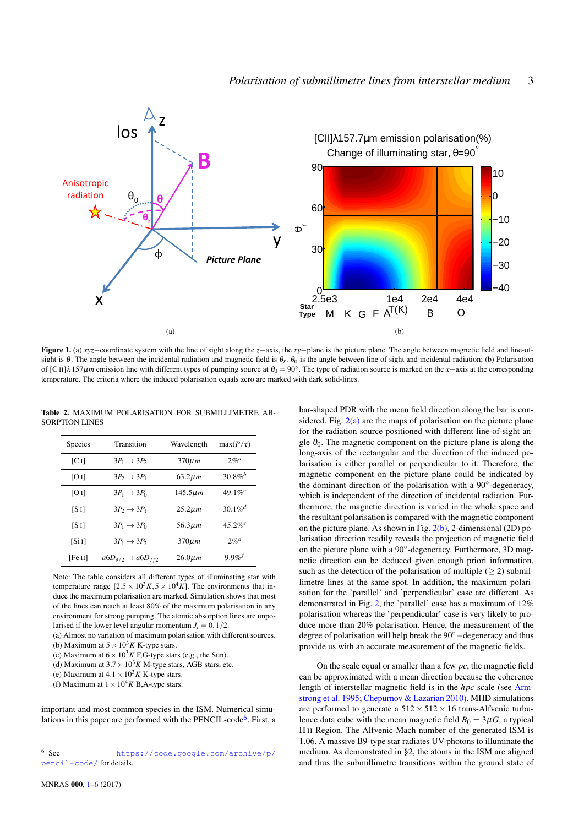<span id="page-2-0"></span>

Figure 1. (a) *xyz*−coordinate system with the line of sight along the *z*−axis, the *xy*−plane is the picture plane. The angle between magnetic field and line-ofsight is θ. The angle between the incidental radiation and magnetic field is θ<sub>r</sub>. θ<sub>0</sub> is the angle between line of sight and incidental radiation; (b) Polarisation of [C II] $\lambda$ 157 $\mu$ *m* emission line with different types of pumping source at  $\theta_0 = 90^\circ$ . The type of radiation source is marked on the *x*−axis at the corresponding temperature. The criteria where the induced polarisation equals zero are marked with dark solid-lines.

Table 2. MAXIMUM POLARISATION FOR SUBMILLIMETRE AB-SORPTION LINES

| <b>Species</b> | Transition                        | Wavelength    | $max(P/\tau)$         |
|----------------|-----------------------------------|---------------|-----------------------|
| [CI]           | $3P_1 \rightarrow 3P_2$           | $370 \mu m$   | 2%                    |
| [O I]          | $3P_2 \rightarrow 3P_1$           | $63.2 \mu m$  | $30.8\%^{b}$          |
| [O I]          | $3P_1 \rightarrow 3P_0$           | $145.5 \mu m$ | 49.1% $^{c}$          |
| [S 1]          | $3P_2 \rightarrow 3P_1$           | $25.2 \mu m$  | $30.1\%$ <sup>d</sup> |
| [S 1]          | $3P_1 \rightarrow 3P_0$           | $56.3 \mu m$  | $45.2%$ <sup>e</sup>  |
| [Si I]         | $3P_1 \rightarrow 3P_2$           | $370 \mu m$   | 2%                    |
| [Fe II]        | $a6D_{9/2} \rightarrow a6D_{7/2}$ | $26.0 \mu m$  | $9.9\%$               |

Note: The table considers all different types of illuminating star with temperature range  $[2.5 \times 10^3 K, 5 \times 10^4 K]$ . The environments that induce the maximum polarisation are marked. Simulation shows that most of the lines can reach at least 80% of the maximum polarisation in any environment for strong pumping. The atomic absorption lines are unpolarised if the lower level angular momentum  $J_l = 0, 1/2$ .

(a) Almost no variation of maximum polarisation with different sources. (b) Maximum at  $5 \times 10^3 K$  K-type stars.

- (c) Maximum at  $6 \times 10^3 K$  F,G-type stars (e.g., the Sun).
- (d) Maximum at  $3.7 \times 10^3 K$  M-type stars, AGB stars, etc.

(e) Maximum at  $4.1 \times 10^3 K$  K-type stars.

(f) Maximum at  $1 \times 10^4 K$  B, A-type stars.

important and most common species in the ISM. Numerical simu-lations in this paper are performed with the PENCIL-code<sup>[6](#page-2-2)</sup>. First, a

<span id="page-2-1"></span>bar-shaped PDR with the mean field direction along the bar is considered. Fig.  $2(a)$  are the maps of polarisation on the picture plane for the radiation source positioned with different line-of-sight angle  $\theta_0$ . The magnetic component on the picture plane is along the long-axis of the rectangular and the direction of the induced polarisation is either parallel or perpendicular to it. Therefore, the magnetic component on the picture plane could be indicated by the dominant direction of the polarisation with a 90°-degeneracy, which is independent of the direction of incidental radiation. Furthermore, the magnetic direction is varied in the whole space and the resultant polarisation is compared with the magnetic component on the picture plane. As shown in Fig.  $2(b)$ , 2-dimensional (2D) polarisation direction readily reveals the projection of magnetic field on the picture plane with a 90°-degeneracy. Furthermore, 3D magnetic direction can be deduced given enough priori information, such as the detection of the polarisation of multiple  $(\geq 2)$  submillimetre lines at the same spot. In addition, the maximum polarisation for the 'parallel' and 'perpendicular' case are different. As demonstrated in Fig. [2,](#page-3-2) the 'parallel' case has a maximum of 12% polarisation whereas the 'perpendicular' case is very likely to produce more than 20% polarisation. Hence, the measurement of the degree of polarisation will help break the 90◦−degeneracy and thus provide us with an accurate measurement of the magnetic fields.

On the scale equal or smaller than a few *pc*, the magnetic field can be approximated with a mean direction because the coherence length of interstellar magnetic field is in the *hpc* scale (see [Arm](#page-5-24)[strong et al.](#page-5-24) [1995;](#page-5-24) [Chepurnov & Lazarian](#page-5-25) [2010\)](#page-5-25). MHD simulations are performed to generate a  $512 \times 512 \times 16$  trans-Alfvenic turbulence data cube with the mean magnetic field  $B_0 = 3\mu G$ , a typical H II Region. The Alfvenic-Mach number of the generated ISM is 1.06. A massive B9-type star radiates UV-photons to illuminate the medium. As demonstrated in §2, the atoms in the ISM are aligned and thus the submillimetre transitions within the ground state of

<span id="page-2-2"></span><sup>6</sup> See [https://code.google.com/archive/p/](https://code.google.com/archive/p/pencil-code/) [pencil-code/](https://code.google.com/archive/p/pencil-code/) for details.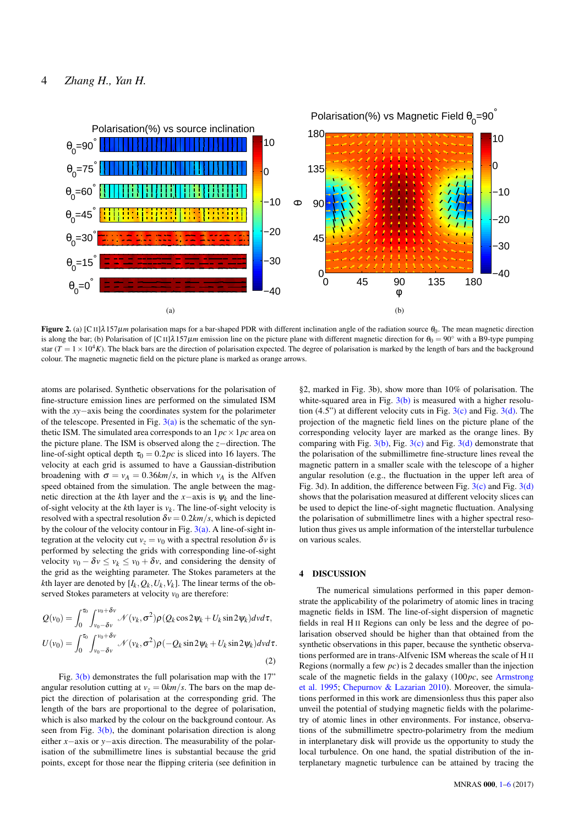# 4 *Zhang H., Yan H.*

<span id="page-3-0"></span>

**Figure 2.** (a)  $[C \Pi] \lambda 157 \mu m$  polarisation maps for a bar-shaped PDR with different inclination angle of the radiation source  $\theta_0$ . The mean magnetic direction is along the bar; (b) Polarisation of [C II] $\lambda$ 157 $\mu$ *m* emission line on the picture plane with different magnetic direction for  $\theta_0 = 90^\circ$  with a B9-type pumping star  $(T = 1 \times 10^4 K)$ . The black bars are the direction of polarisation expected. The degree of polarisation is marked by the length of bars and the background colour. The magnetic magnetic field on the picture plane is marked as orange arrows.

atoms are polarised. Synthetic observations for the polarisation of fine-structure emission lines are performed on the simulated ISM with the *xy*−axis being the coordinates system for the polarimeter of the telescope. Presented in Fig.  $3(a)$  is the schematic of the synthetic ISM. The simulated area corresponds to an  $1pc \times 1pc$  area on the picture plane. The ISM is observed along the *z*−direction. The line-of-sight optical depth  $\tau_0 = 0.2pc$  is sliced into 16 layers. The velocity at each grid is assumed to have a Gaussian-distribution broadening with  $\sigma = v_A = 0.36 \frac{km}{s}$ , in which  $v_A$  is the Alfven speed obtained from the simulation. The angle between the magnetic direction at the *k*th layer and the *x*−axis is  $\psi_k$  and the lineof-sight velocity at the  $k$ th layer is  $v_k$ . The line-of-sight velocity is resolved with a spectral resolution  $\delta v = 0.2 \frac{km}{s}$ , which is depicted by the colour of the velocity contour in Fig.  $3(a)$ . A line-of-sight integration at the velocity cut  $v_z = v_0$  with a spectral resolution  $\delta v$  is performed by selecting the grids with corresponding line-of-sight velocity  $v_0 - \delta v \le v_k \le v_0 + \delta v$ , and considering the density of the grid as the weighting parameter. The Stokes parameters at the *k*th layer are denoted by  $[I_k, Q_k, U_k, V_k]$ . The linear terms of the observed Stokes parameters at velocity  $v_0$  are therefore:

$$
Q(v_0) = \int_0^{\tau_0} \int_{v_0 - \delta v}^{v_0 + \delta v} \mathcal{N}(v_k, \sigma^2) \rho(Q_k \cos 2\psi_k + U_k \sin 2\psi_k) dv d\tau,
$$
  

$$
U(v_0) = \int_0^{\tau_0} \int_{v_0 - \delta v}^{v_0 + \delta v} \mathcal{N}(v_k, \sigma^2) \rho(-Q_k \sin 2\psi_k + U_k \sin 2\psi_k) dv d\tau.
$$
 (2)

Fig. [3\(b\)](#page-4-1) demonstrates the full polarisation map with the 17" angular resolution cutting at  $v_z = 0 \frac{km}{s}$ . The bars on the map depict the direction of polarisation at the corresponding grid. The length of the bars are proportional to the degree of polarisation, which is also marked by the colour on the background contour. As seen from Fig.  $3(b)$ , the dominant polarisation direction is along either *x*−axis or *y*−axis direction. The measurability of the polarisation of the submillimetre lines is substantial because the grid points, except for those near the flipping criteria (see definition in

<span id="page-3-2"></span><span id="page-3-1"></span>§2, marked in Fig. 3b), show more than 10% of polarisation. The white-squared area in Fig.  $3(b)$  is measured with a higher resolution  $(4.5)$  at different velocity cuts in Fig.  $3(c)$  and Fig.  $3(d)$ . The projection of the magnetic field lines on the picture plane of the corresponding velocity layer are marked as the orange lines. By comparing with Fig.  $3(b)$ , Fig.  $3(c)$  and Fig.  $3(d)$  demonstrate that the polarisation of the submillimetre fine-structure lines reveal the magnetic pattern in a smaller scale with the telescope of a higher angular resolution (e.g., the fluctuation in the upper left area of Fig. 3d). In addition, the difference between Fig.  $3(c)$  and Fig.  $3(d)$ shows that the polarisation measured at different velocity slices can be used to depict the line-of-sight magnetic fluctuation. Analysing the polarisation of submillimetre lines with a higher spectral resolution thus gives us ample information of the interstellar turbulence on various scales.

# 4 DISCUSSION

The numerical simulations performed in this paper demonstrate the applicability of the polarimetry of atomic lines in tracing magnetic fields in ISM. The line-of-sight dispersion of magnetic fields in real H II Regions can only be less and the degree of polarisation observed should be higher than that obtained from the synthetic observations in this paper, because the synthetic observations performed are in trans-Alfvenic ISM whereas the scale of H II Regions (normally a few *pc*) is 2 decades smaller than the injection scale of the magnetic fields in the galaxy (100*pc*, see [Armstrong](#page-5-24) [et al.](#page-5-24) [1995;](#page-5-24) [Chepurnov & Lazarian](#page-5-25) [2010\)](#page-5-25). Moreover, the simulations performed in this work are dimensionless thus this paper also unveil the potential of studying magnetic fields with the polarimetry of atomic lines in other environments. For instance, observations of the submillimetre spectro-polarimetry from the medium in interplanetary disk will provide us the opportunity to study the local turbulence. On one hand, the spatial distribution of the interplanetary magnetic turbulence can be attained by tracing the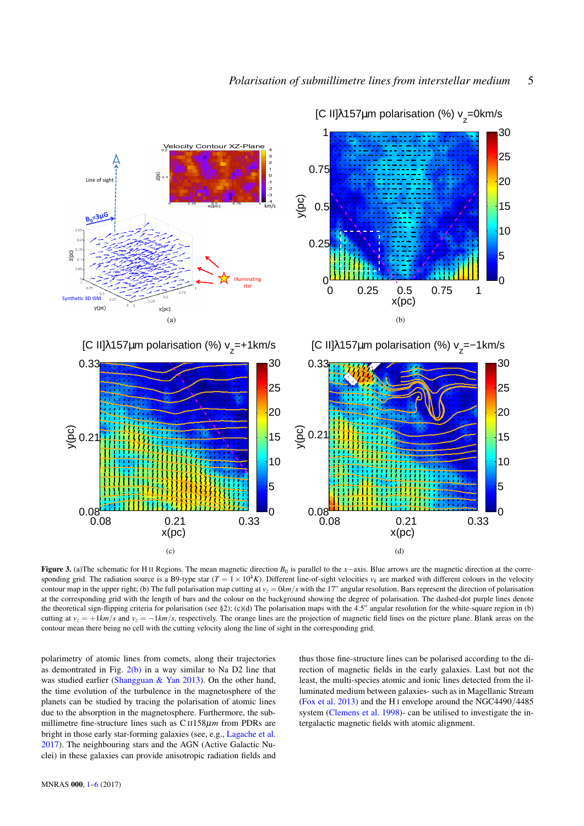<span id="page-4-0"></span>

<span id="page-4-1"></span>[C II]λ157μm polarisation (%) v<sub>z</sub>=0km/s

<span id="page-4-2"></span>Figure 3. (a)The schematic for H II Regions. The mean magnetic direction *B*<sup>0</sup> is parallel to the *x*−axis. Blue arrows are the magnetic direction at the corresponding grid. The radiation source is a B9-type star  $(T = 1 \times 10^4 K)$ . Different line-of-sight velocities  $v_k$  are marked with different colours in the velocity contour map in the upper right; (b) The full polarisation map cutting at  $v_z = 0$ km/*s* with the 17" angular resolution. Bars represent the direction of polarisation at the corresponding grid with the length of bars and the colour on the background showing the degree of polarisation. The dashed-dot purple lines denote the theoretical sign-flipping criteria for polarisation (see §2); (c)(d) The polarisation maps with the 4.5" angular resolution for the white-square region in (b) cutting at  $v_z = +1km/s$  and  $v_z = -1km/s$ , respectively. The orange lines are the projection of magnetic field lines on the picture plane. Blank areas on the contour mean there being no cell with the cutting velocity along the line of sight in the corresponding grid.

polarimetry of atomic lines from comets, along their trajectories as demontrated in Fig. [2\(b\)](#page-3-1) in a way similar to Na D2 line that was studied earlier [\(Shangguan & Yan](#page-5-8) [2013\)](#page-5-8). On the other hand, the time evolution of the turbulence in the magnetosphere of the planets can be studied by tracing the polarisation of atomic lines due to the absorption in the magnetosphere. Furthermore, the submillimetre fine-structure lines such as C II158µ*m* from PDRs are bright in those early star-forming galaxies (see, e.g., [Lagache et al.](#page-5-26) [2017\)](#page-5-26). The neighbouring stars and the AGN (Active Galactic Nuclei) in these galaxies can provide anisotropic radiation fields and <span id="page-4-3"></span>thus those fine-structure lines can be polarised according to the direction of magnetic fields in the early galaxies. Last but not the least, the multi-species atomic and ionic lines detected from the illuminated medium between galaxies- such as in Magellanic Stream [\(Fox et al.](#page-5-27) [2013\)](#page-5-27) and the H I envelope around the NGC4490/4485 system [\(Clemens et al.](#page-5-28) [1998\)](#page-5-28)- can be utilised to investigate the intergalactic magnetic fields with atomic alignment.